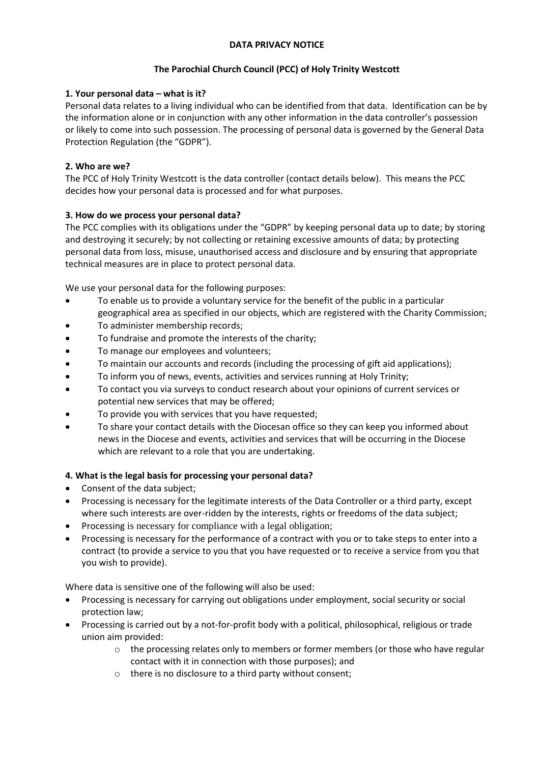### **DATA PRIVACY NOTICE**

# **The Parochial Church Council (PCC) of Holy Trinity Westcott**

### **1. Your personal data – what is it?**

Personal data relates to a living individual who can be identified from that data. Identification can be by the information alone or in conjunction with any other information in the data controller's possession or likely to come into such possession. The processing of personal data is governed by the General Data Protection Regulation (the "GDPR").

# **2. Who are we?**

The PCC of Holy Trinity Westcott is the data controller (contact details below). This means the PCC decides how your personal data is processed and for what purposes.

# **3. How do we process your personal data?**

The PCC complies with its obligations under the "GDPR" by keeping personal data up to date; by storing and destroying it securely; by not collecting or retaining excessive amounts of data; by protecting personal data from loss, misuse, unauthorised access and disclosure and by ensuring that appropriate technical measures are in place to protect personal data.

We use your personal data for the following purposes:

- To enable us to provide a voluntary service for the benefit of the public in a particular geographical area as specified in our objects, which are registered with the Charity Commission;
- To administer membership records;
- To fundraise and promote the interests of the charity;
- To manage our employees and volunteers;
- To maintain our accounts and records (including the processing of gift aid applications);
- To inform you of news, events, activities and services running at Holy Trinity;
- To contact you via surveys to conduct research about your opinions of current services or potential new services that may be offered;
- To provide you with services that you have requested;
- To share your contact details with the Diocesan office so they can keep you informed about news in the Diocese and events, activities and services that will be occurring in the Diocese which are relevant to a role that you are undertaking.

### **4. What is the legal basis for processing your personal data?**

- Consent of the data subject;
- Processing is necessary for the legitimate interests of the Data Controller or a third party, except where such interests are over-ridden by the interests, rights or freedoms of the data subject;
- Processing is necessary for compliance with a legal obligation;
- Processing is necessary for the performance of a contract with you or to take steps to enter into a contract (to provide a service to you that you have requested or to receive a service from you that you wish to provide).

Where data is sensitive one of the following will also be used:

- Processing is necessary for carrying out obligations under employment, social security or social protection law;
- Processing is carried out by a not-for-profit body with a political, philosophical, religious or trade union aim provided:
	- $\circ$  the processing relates only to members or former members (or those who have regular contact with it in connection with those purposes); and
	- o there is no disclosure to a third party without consent;